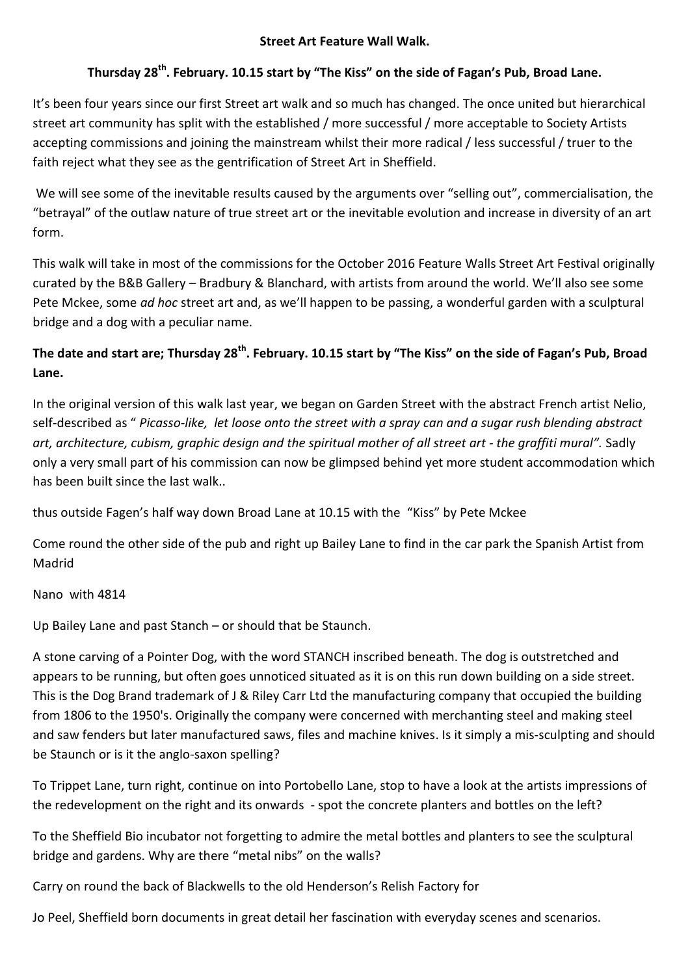### **Street Art Feature Wall Walk.**

# **Thursday 28th. February. 10.15 start by "The Kiss" on the side of Fagan's Pub, Broad Lane.**

It's been four years since our first Street art walk and so much has changed. The once united but hierarchical street art community has split with the established / more successful / more acceptable to Society Artists accepting commissions and joining the mainstream whilst their more radical / less successful / truer to the faith reject what they see as the gentrification of Street Art in Sheffield.

We will see some of the inevitable results caused by the arguments over "selling out", commercialisation, the "betrayal" of the outlaw nature of true street art or the inevitable evolution and increase in diversity of an art form.

This walk will take in most of the commissions for the October 2016 Feature Walls Street Art Festival originally curated by the B&B Gallery – Bradbury & Blanchard, with artists from around the world. We'll also see some Pete Mckee, some *ad hoc* street art and, as we'll happen to be passing, a wonderful garden with a sculptural bridge and a dog with a peculiar name.

## **The date and start are; Thursday 28th. February. 10.15 start by "The Kiss" on the side of Fagan's Pub, Broad Lane.**

In the original version of this walk last year, we began on Garden Street with the abstract French artist Nelio, self-described as " *Picasso-like, let loose onto the street with a spray can and a sugar rush blending abstract art, architecture, cubism, graphic design and the spiritual mother of all street art - the graffiti mural".* Sadly only a very small part of his commission can now be glimpsed behind yet more student accommodation which has been built since the last walk..

thus outside Fagen's half way down Broad Lane at 10.15 with the "Kiss" by Pete Mckee

Come round the other side of the pub and right up Bailey Lane to find in the car park the Spanish Artist from Madrid

### Nano with 4814

Up Bailey Lane and past Stanch – or should that be Staunch.

A stone carving of a Pointer Dog, with the word STANCH inscribed beneath. The dog is outstretched and appears to be running, but often goes unnoticed situated as it is on this run down building on a side street. This is the Dog Brand trademark of J & Riley Carr Ltd the manufacturing company that occupied the building from 1806 to the 1950's. Originally the company were concerned with merchanting steel and making steel and saw fenders but later manufactured saws, files and machine knives. Is it simply a mis-sculpting and should be Staunch or is it the anglo-saxon spelling?

To Trippet Lane, turn right, continue on into Portobello Lane, stop to have a look at the artists impressions of the redevelopment on the right and its onwards - spot the concrete planters and bottles on the left?

To the Sheffield Bio incubator not forgetting to admire the metal bottles and planters to see the sculptural bridge and gardens. Why are there "metal nibs" on the walls?

Carry on round the back of Blackwells to the old Henderson's Relish Factory for

Jo Peel, Sheffield born documents in great detail her fascination with everyday scenes and scenarios.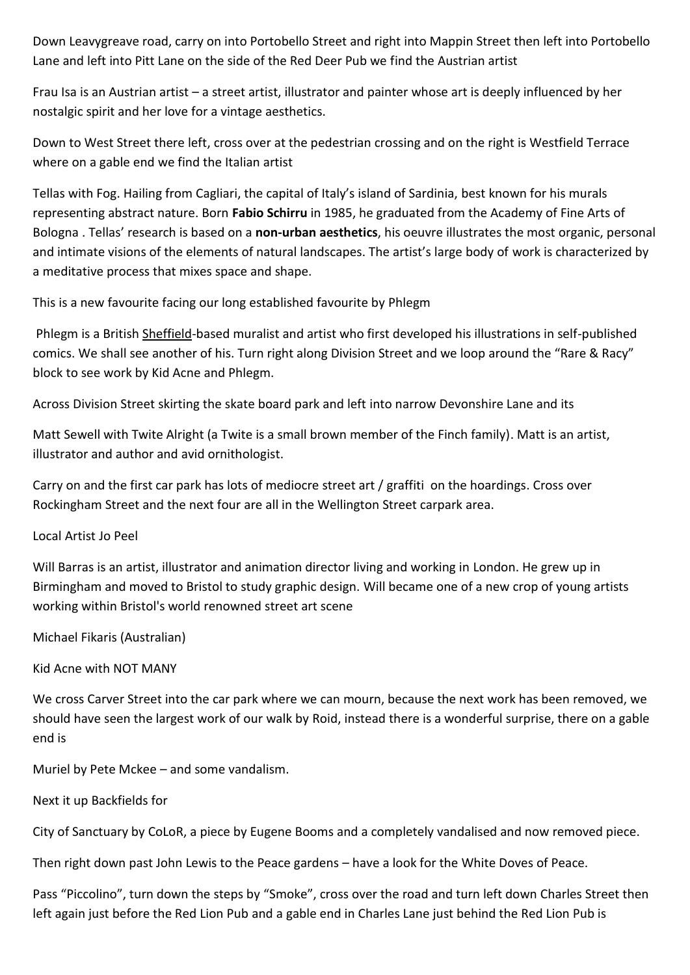Down Leavygreave road, carry on into Portobello Street and right into Mappin Street then left into Portobello Lane and left into Pitt Lane on the side of the Red Deer Pub we find the Austrian artist

Frau Isa is an Austrian artist – a street artist, illustrator and painter whose art is deeply influenced by her nostalgic spirit and her love for a vintage aesthetics.

Down to West Street there left, cross over at the pedestrian crossing and on the right is Westfield Terrace where on a gable end we find the Italian artist

Tellas with Fog. Hailing from Cagliari, the capital of Italy's island of Sardinia, best known for his murals representing abstract nature. Born **Fabio Schirru** in 1985, he graduated from the Academy of Fine Arts of Bologna . Tellas' research is based on a **non-urban aesthetics**, his oeuvre illustrates the most organic, personal and intimate visions of the elements of natural landscapes. The artist's large body of work is characterized by a meditative process that mixes space and shape.

This is a new favourite facing our long established favourite by Phlegm

Phlegm is a British [Sheffield-](https://en.wikipedia.org/wiki/Sheffield)based muralist and artist who first developed his illustrations in self-published comics. We shall see another of his. Turn right along Division Street and we loop around the "Rare & Racy" block to see work by Kid Acne and Phlegm.

Across Division Street skirting the skate board park and left into narrow Devonshire Lane and its

Matt Sewell with Twite Alright (a Twite is a small brown member of the Finch family). Matt is an artist, illustrator and author and avid ornithologist.

Carry on and the first car park has lots of mediocre street art / graffiti on the hoardings. Cross over Rockingham Street and the next four are all in the Wellington Street carpark area.

Local Artist Jo Peel

Will Barras is an artist, illustrator and animation director living and working in London. He grew up in Birmingham and moved to Bristol to study graphic design. Will became one of a new crop of young artists working within Bristol's world renowned street art scene

Michael Fikaris (Australian)

Kid Acne with NOT MANY

We cross Carver Street into the car park where we can mourn, because the next work has been removed, we should have seen the largest work of our walk by Roid, instead there is a wonderful surprise, there on a gable end is

Muriel by Pete Mckee – and some vandalism.

Next it up Backfields for

City of Sanctuary by CoLoR, a piece by Eugene Booms and a completely vandalised and now removed piece.

Then right down past John Lewis to the Peace gardens – have a look for the White Doves of Peace.

Pass "Piccolino", turn down the steps by "Smoke", cross over the road and turn left down Charles Street then left again just before the Red Lion Pub and a gable end in Charles Lane just behind the Red Lion Pub is